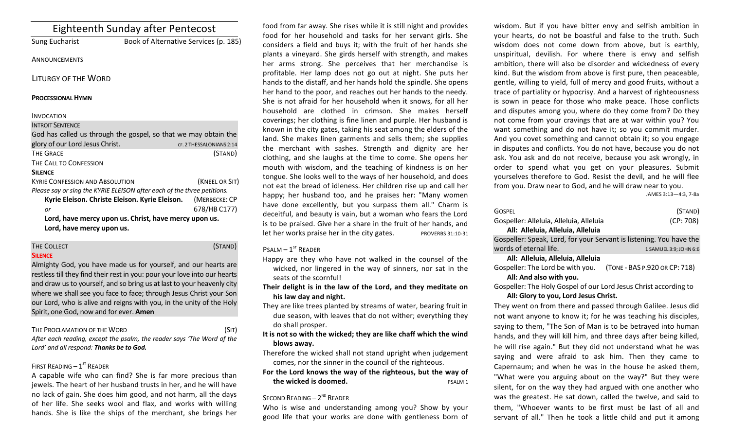| <b>Eighteenth Sunday after Pentecost</b>       |                                                                         |  |
|------------------------------------------------|-------------------------------------------------------------------------|--|
| <b>Sung Eucharist</b>                          | Book of Alternative Services (p. 185)                                   |  |
| ANNOUNCEMENTS                                  |                                                                         |  |
| <b>LITURGY OF THE WORD</b>                     |                                                                         |  |
| <b>PROCESSIONAL HYMN</b>                       |                                                                         |  |
| <b>INVOCATION</b>                              |                                                                         |  |
| <b>INTROIT SENTENCE</b>                        |                                                                         |  |
|                                                | God has called us through the gospel, so that we may obtain the         |  |
| glory of our Lord Jesus Christ.                | CF. 2 THESSALONIANS 2:14                                                |  |
| <b>THE GRACE</b>                               | (STAND)                                                                 |  |
| THE CALL TO CONFESSION                         |                                                                         |  |
| <b>SILENCE</b>                                 |                                                                         |  |
| <b>KYRIE CONFESSION AND ABSOLUTION</b>         | (KNEEL OR SIT)                                                          |  |
|                                                | Please say or sing the KYRIE ELEISON after each of the three petitions. |  |
| Kyrie Eleison. Christe Eleison. Kyrie Eleison. | (MERBECKE: CP                                                           |  |
| or                                             | 678/HB C177)                                                            |  |
|                                                | Lord, have mercy upon us. Christ, have mercy upon us.                   |  |
| Lord, have mercy upon us.                      |                                                                         |  |
|                                                |                                                                         |  |

#### THE COLLECT (STAND) **SILENCE**

Almighty God, you have made us for yourself, and our hearts are restless till they find their rest in you: pour your love into our hearts and draw us to yourself, and so bring us at last to your heavenly city where we shall see you face to face; through Jesus Christ your Son our Lord, who is alive and reigns with you, in the unity of the Holy Spirit, one God, now and for ever. **Amen** 

#### THE PROCLAMATION OF THE WORD (SIT)

After each reading, except the psalm, the reader says 'The Word of the Lord' and all respond: Thanks be to God.

# FIRST READING  $-1^\text{ST}$  READER

A capable wife who can find? She is far more precious than jewels. The heart of her husband trusts in her, and he will have no lack of gain. She does him good, and not harm, all the days of her life. She seeks wool and flax, and works with willing hands. She is like the ships of the merchant, she brings her

food from far away. She rises while it is still night and provides food for her household and tasks for her servant girls. She considers a field and buys it; with the fruit of her hands she plants a vineyard. She girds herself with strength, and makes her arms strong. She perceives that her merchandise is profitable. Her lamp does not go out at night. She puts her hands to the distaff, and her hands hold the spindle. She opens her hand to the poor, and reaches out her hands to the needy. She is not afraid for her household when it snows, for all her household are clothed in crimson. She makes herself coverings; her clothing is fine linen and purple. Her husband is known in the city gates, taking his seat among the elders of the land. She makes linen garments and sells them; she supplies the merchant with sashes. Strength and dignity are her clothing, and she laughs at the time to come. She opens her mouth with wisdom, and the teaching of kindness is on her tongue. She looks well to the ways of her household, and does not eat the bread of idleness. Her children rise up and call her happy; her husband too, and he praises her: "Many women have done excellently, but you surpass them all." Charm is deceitful, and beauty is vain, but a woman who fears the Lord is to be praised. Give her a share in the fruit of her hands, and let her works praise her in the city gates. PROVERBS 31:10-31

# $P$ SALM –  $1<sup>ST</sup>$  READER

Happy are they who have not walked in the counsel of the wicked, nor lingered in the way of sinners, nor sat in the seats of the scornful!

- Their delight is in the law of the Lord, and they meditate on his law day and night.
- They are like trees planted by streams of water, bearing fruit in due season, with leaves that do not wither; everything they do shall prosper.
- It is not so with the wicked; they are like chaff which the wind **blows away.**
- Therefore the wicked shall not stand upright when judgement comes, nor the sinner in the council of the righteous.
- For the Lord knows the way of the righteous, but the way of **the wicked is doomed.** PSALM 1

# SECOND READING  $- 2<sup>ND</sup>$  READER

Who is wise and understanding among you? Show by your good life that your works are done with gentleness born of

wisdom. But if you have bitter envy and selfish ambition in your hearts, do not be boastful and false to the truth. Such wisdom does not come down from above, but is earthly, unspiritual, devilish. For where there is envy and selfish ambition, there will also be disorder and wickedness of every kind. But the wisdom from above is first pure, then peaceable, gentle, willing to yield, full of mercy and good fruits, without a trace of partiality or hypocrisy. And a harvest of righteousness is sown in peace for those who make peace. Those conflicts and disputes among you, where do they come from? Do they not come from your cravings that are at war within you? You want something and do not have it; so you commit murder. And you covet something and cannot obtain it; so you engage in disputes and conflicts. You do not have, because you do not ask. You ask and do not receive, because you ask wrongly, in order to spend what you get on your pleasures. Submit yourselves therefore to God. Resist the devil, and he will flee from you. Draw near to God, and he will draw near to you.

JAMES 3:13—4:3, 7-8a

| <b>GOSPEL</b>                                                       | (STAND)                |  |
|---------------------------------------------------------------------|------------------------|--|
| Gospeller: Alleluia, Alleluia, Alleluia                             | (CP: 708)              |  |
| All: Alleluia, Alleluia, Alleluia                                   |                        |  |
| Gospeller: Speak, Lord, for your Servant is listening. You have the |                        |  |
| words of eternal life.                                              | 1 SAMUEL 3:9; JOHN 6:6 |  |

# **All: Alleluia, Alleluia, Alleluia**

Gospeller: The Lord be with you. (TONE - BAS P.920 OR CP: 718) All: And also with you.

Gospeller: The Holy Gospel of our Lord Jesus Christ according to All: Glory to you, Lord Jesus Christ.

They went on from there and passed through Galilee. Jesus did not want anyone to know it; for he was teaching his disciples, saying to them, "The Son of Man is to be betrayed into human hands, and they will kill him, and three days after being killed, he will rise again." But they did not understand what he was saying and were afraid to ask him. Then they came to Capernaum; and when he was in the house he asked them, "What were you arguing about on the way?" But they were silent, for on the way they had argued with one another who was the greatest. He sat down, called the twelve, and said to them, "Whoever wants to be first must be last of all and servant of all." Then he took a little child and put it among